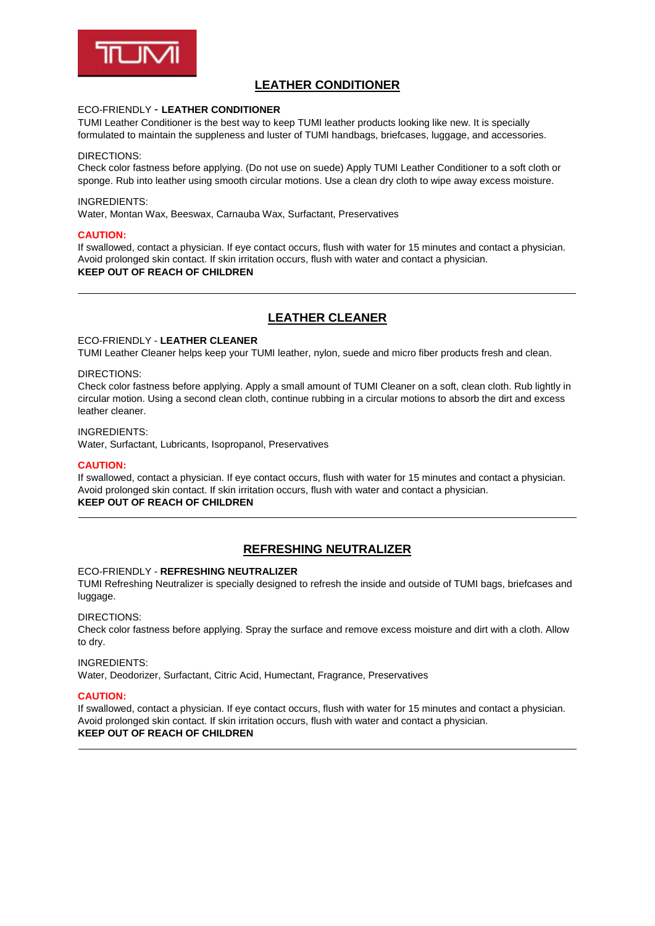

# **LEATHER CONDITIONER**

## ECO-FRIENDLY - **LEATHER CONDITIONER**

TUMI Leather Conditioner is the best way to keep TUMI leather products looking like new. It is specially formulated to maintain the suppleness and luster of TUMI handbags, briefcases, luggage, and accessories.

### DIRECTIONS:

Check color fastness before applying. (Do not use on suede) Apply TUMI Leather Conditioner to a soft cloth or sponge. Rub into leather using smooth circular motions. Use a clean dry cloth to wipe away excess moisture.

### INGREDIENTS:

Water, Montan Wax, Beeswax, Carnauba Wax, Surfactant, Preservatives

### **CAUTION:**

If swallowed, contact a physician. If eye contact occurs, flush with water for 15 minutes and contact a physician. Avoid prolonged skin contact. If skin irritation occurs, flush with water and contact a physician. **KEEP OUT OF REACH OF CHILDREN**

# **LEATHER CLEANER**

### ECO-FRIENDLY - **LEATHER CLEANER**

TUMI Leather Cleaner helps keep your TUMI leather, nylon, suede and micro fiber products fresh and clean.

#### DIRECTIONS:

Check color fastness before applying. Apply a small amount of TUMI Cleaner on a soft, clean cloth. Rub lightly in circular motion. Using a second clean cloth, continue rubbing in a circular motions to absorb the dirt and excess leather cleaner.

#### INGREDIENTS:

Water, Surfactant, Lubricants, Isopropanol, Preservatives

### **CAUTION:**

If swallowed, contact a physician. If eye contact occurs, flush with water for 15 minutes and contact a physician. Avoid prolonged skin contact. If skin irritation occurs, flush with water and contact a physician. **KEEP OUT OF REACH OF CHILDREN**

# **REFRESHING NEUTRALIZER**

### ECO-FRIENDLY - **REFRESHING NEUTRALIZER**

TUMI Refreshing Neutralizer is specially designed to refresh the inside and outside of TUMI bags, briefcases and luggage.

### DIRECTIONS:

Check color fastness before applying. Spray the surface and remove excess moisture and dirt with a cloth. Allow to dry.

#### INGREDIENTS:

Water, Deodorizer, Surfactant, Citric Acid, Humectant, Fragrance, Preservatives

### **CAUTION:**

If swallowed, contact a physician. If eye contact occurs, flush with water for 15 minutes and contact a physician. Avoid prolonged skin contact. If skin irritation occurs, flush with water and contact a physician. **KEEP OUT OF REACH OF CHILDREN**